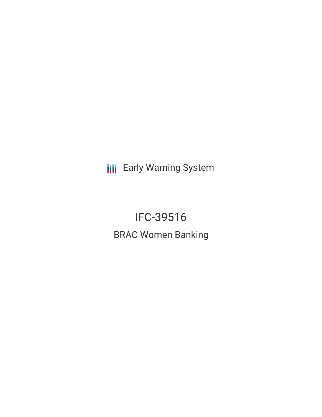**III** Early Warning System

IFC-39516 BRAC Women Banking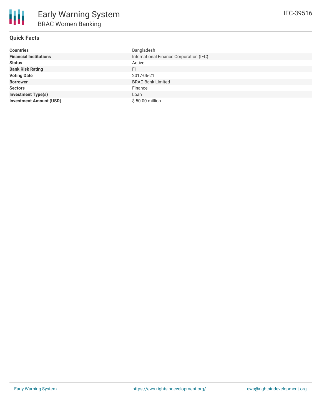# **Quick Facts**

| <b>Countries</b>               | Bangladesh                              |
|--------------------------------|-----------------------------------------|
| <b>Financial Institutions</b>  | International Finance Corporation (IFC) |
| <b>Status</b>                  | Active                                  |
| <b>Bank Risk Rating</b>        | FI.                                     |
| <b>Voting Date</b>             | 2017-06-21                              |
| <b>Borrower</b>                | <b>BRAC Bank Limited</b>                |
| <b>Sectors</b>                 | Finance                                 |
| <b>Investment Type(s)</b>      | Loan                                    |
| <b>Investment Amount (USD)</b> | \$50.00 million                         |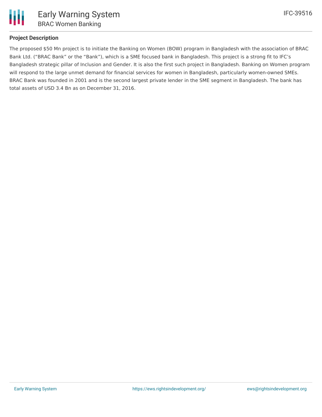

## **Project Description**

The proposed \$50 Mn project is to initiate the Banking on Women (BOW) program in Bangladesh with the association of BRAC Bank Ltd. ("BRAC Bank" or the "Bank"), which is a SME focused bank in Bangladesh. This project is a strong fit to IFC's Bangladesh strategic pillar of Inclusion and Gender. It is also the first such project in Bangladesh. Banking on Women program will respond to the large unmet demand for financial services for women in Bangladesh, particularly women-owned SMEs. BRAC Bank was founded in 2001 and is the second largest private lender in the SME segment in Bangladesh. The bank has total assets of USD 3.4 Bn as on December 31, 2016.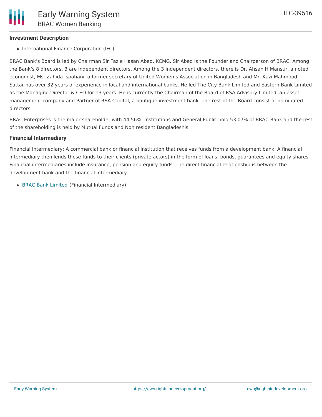### **Investment Description**

• International Finance Corporation (IFC)

BRAC Bank's Board is led by Chairman Sir Fazle Hasan Abed, KCMG. Sir Abed is the Founder and Chairperson of BRAC. Among the Bank's 8 directors, 3 are independent directors. Among the 3 independent directors, there is Dr. Ahsan H Mansur, a noted economist, Ms. Zahida Ispahani, a former secretary of United Women's Association in Bangladesh and Mr. Kazi Mahmood Sattar has over 32 years of experience in local and international banks. He led The City Bank Limited and Eastern Bank Limited as the Managing Director & CEO for 13 years. He is currently the Chairman of the Board of RSA Advisory Limited, an asset management company and Partner of RSA Capital, a boutique investment bank. The rest of the Board consist of nominated directors.

BRAC Enterprises is the major shareholder with 44.56%. Institutions and General Public hold 53.07% of BRAC Bank and the rest of the shareholding is held by Mutual Funds and Non resident Bangladeshis.

### **Financial Intermediary**

Financial Intermediary: A commercial bank or financial institution that receives funds from a development bank. A financial intermediary then lends these funds to their clients (private actors) in the form of loans, bonds, guarantees and equity shares. Financial intermediaries include insurance, pension and equity funds. The direct financial relationship is between the development bank and the financial intermediary.

BRAC Bank [Limited](file:///actor/1057/) (Financial Intermediary)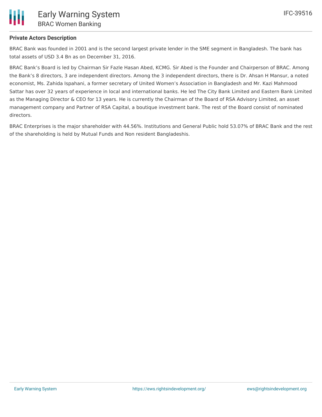

## **Private Actors Description**

BRAC Bank was founded in 2001 and is the second largest private lender in the SME segment in Bangladesh. The bank has total assets of USD 3.4 Bn as on December 31, 2016.

BRAC Bank's Board is led by Chairman Sir Fazle Hasan Abed, KCMG. Sir Abed is the Founder and Chairperson of BRAC. Among the Bank's 8 directors, 3 are independent directors. Among the 3 independent directors, there is Dr. Ahsan H Mansur, a noted economist, Ms. Zahida Ispahani, a former secretary of United Women's Association in Bangladesh and Mr. Kazi Mahmood Sattar has over 32 years of experience in local and international banks. He led The City Bank Limited and Eastern Bank Limited as the Managing Director & CEO for 13 years. He is currently the Chairman of the Board of RSA Advisory Limited, an asset management company and Partner of RSA Capital, a boutique investment bank. The rest of the Board consist of nominated directors.

BRAC Enterprises is the major shareholder with 44.56%. Institutions and General Public hold 53.07% of BRAC Bank and the rest of the shareholding is held by Mutual Funds and Non resident Bangladeshis.